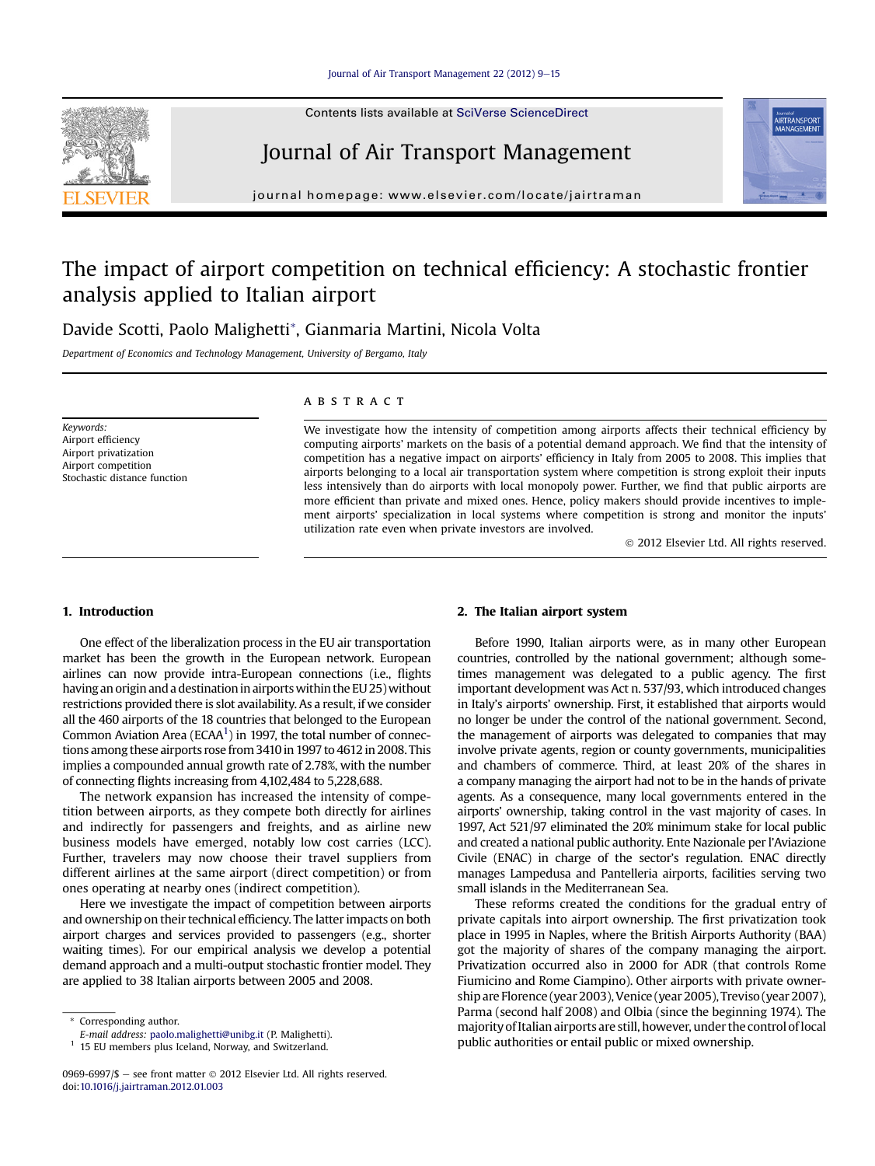Contents lists available at SciVerse ScienceDirect

## Journal of Air Transport Management

journal homepage: [www.elsevier.com/locate/jairtraman](http://www.elsevier.com/locate/jairtraman)

## The impact of airport competition on technical efficiency: A stochastic frontier analysis applied to Italian airport

### Davide Scotti, Paolo Malighetti\*, Gianmaria Martini, Nicola Volta

Department of Economics and Technology Management, University of Bergamo, Italy

Keywords: Airport efficiency Airport privatization Airport competition Stochastic distance function

#### **ABSTRACT**

We investigate how the intensity of competition among airports affects their technical efficiency by computing airports' markets on the basis of a potential demand approach. We find that the intensity of competition has a negative impact on airports' efficiency in Italy from 2005 to 2008. This implies that airports belonging to a local air transportation system where competition is strong exploit their inputs less intensively than do airports with local monopoly power. Further, we find that public airports are more efficient than private and mixed ones. Hence, policy makers should provide incentives to implement airports' specialization in local systems where competition is strong and monitor the inputs' utilization rate even when private investors are involved.

2012 Elsevier Ltd. All rights reserved.

#### 1. Introduction

One effect of the liberalization process in the EU air transportation market has been the growth in the European network. European airlines can now provide intra-European connections (i.e., flights having an origin and a destination in airports within the EU 25) without restrictions provided there is slot availability. As a result, if we consider all the 460 airports of the 18 countries that belonged to the European Common Aviation Area (ECAA<sup>1</sup>) in 1997, the total number of connections among these airports rose from 3410 in 1997 to 4612 in 2008. This implies a compounded annual growth rate of 2.78%, with the number of connecting flights increasing from 4,102,484 to 5,228,688.

The network expansion has increased the intensity of competition between airports, as they compete both directly for airlines and indirectly for passengers and freights, and as airline new business models have emerged, notably low cost carries (LCC). Further, travelers may now choose their travel suppliers from different airlines at the same airport (direct competition) or from ones operating at nearby ones (indirect competition).

Here we investigate the impact of competition between airports and ownership on their technical efficiency. The latter impacts on both airport charges and services provided to passengers (e.g., shorter waiting times). For our empirical analysis we develop a potential demand approach and a multi-output stochastic frontier model. They are applied to 38 Italian airports between 2005 and 2008.

#### 2. The Italian airport system

Before 1990, Italian airports were, as in many other European countries, controlled by the national government; although sometimes management was delegated to a public agency. The first important development was Act n. 537/93, which introduced changes in Italy's airports' ownership. First, it established that airports would no longer be under the control of the national government. Second, the management of airports was delegated to companies that may involve private agents, region or county governments, municipalities and chambers of commerce. Third, at least 20% of the shares in a company managing the airport had not to be in the hands of private agents. As a consequence, many local governments entered in the airports' ownership, taking control in the vast majority of cases. In 1997, Act 521/97 eliminated the 20% minimum stake for local public and created a national public authority. Ente Nazionale per l'Aviazione Civile (ENAC) in charge of the sector's regulation. ENAC directly manages Lampedusa and Pantelleria airports, facilities serving two small islands in the Mediterranean Sea.

These reforms created the conditions for the gradual entry of private capitals into airport ownership. The first privatization took place in 1995 in Naples, where the British Airports Authority (BAA) got the majority of shares of the company managing the airport. Privatization occurred also in 2000 for ADR (that controls Rome Fiumicino and Rome Ciampino). Other airports with private ownership are Florence (year 2003), Venice (year 2005), Treviso (year 2007), Parma (second half 2008) and Olbia (since the beginning 1974). The majority of Italian airports are still, however, under the control oflocal public authorities or entail public or mixed ownership.





<sup>\*</sup> Corresponding author.

E-mail address: [paolo.malighetti@unibg.it](mailto:paolo.malighetti@unibg.it) (P. Malighetti).

<sup>&</sup>lt;sup>1</sup> 15 EU members plus Iceland, Norway, and Switzerland.

<sup>0969-6997/\$ -</sup> see front matter  $\odot$  2012 Elsevier Ltd. All rights reserved. doi[:10.1016/j.jairtraman.2012.01.003](http://dx.doi.org/10.1016/j.jairtraman.2012.01.003)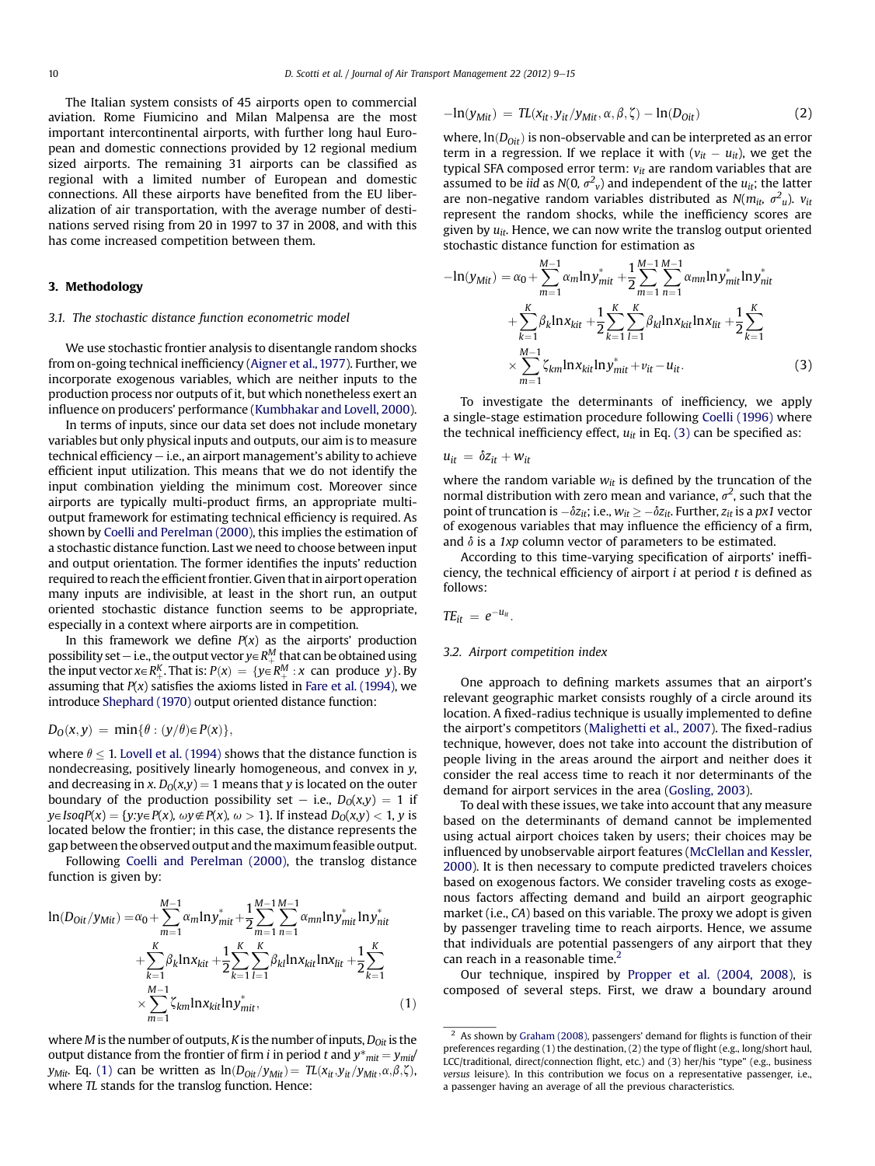The Italian system consists of 45 airports open to commercial aviation. Rome Fiumicino and Milan Malpensa are the most important intercontinental airports, with further long haul European and domestic connections provided by 12 regional medium sized airports. The remaining 31 airports can be classified as regional with a limited number of European and domestic connections. All these airports have benefited from the EU liberalization of air transportation, with the average number of destinations served rising from 20 in 1997 to 37 in 2008, and with this has come increased competition between them.

#### 3. Methodology

#### 3.1. The stochastic distance function econometric model

We use stochastic frontier analysis to disentangle random shocks from on-going technical inefficiency ([Aigner et al., 1977](#page--1-0)). Further, we incorporate exogenous variables, which are neither inputs to the production process nor outputs of it, but which nonetheless exert an influence on producers' performance ([Kumbhakar and Lovell, 2000](#page--1-0)).

In terms of inputs, since our data set does not include monetary variables but only physical inputs and outputs, our aim is to measure  $t$ echnical efficiency  $-$  i.e., an airport management's ability to achieve efficient input utilization. This means that we do not identify the input combination yielding the minimum cost. Moreover since airports are typically multi-product firms, an appropriate multioutput framework for estimating technical efficiency is required. As shown by [Coelli and Perelman \(2000\),](#page--1-0) this implies the estimation of a stochastic distance function. Last we need to choose between input and output orientation. The former identifies the inputs' reduction required to reach the efficient frontier. Given that in airport operation many inputs are indivisible, at least in the short run, an output oriented stochastic distance function seems to be appropriate, especially in a context where airports are in competition.

In this framework we define  $P(x)$  as the airports' production possibility set – i.e., the output vector  $y \in R_{++}^M$  that can be obtained using<br>the input vector  $y \in R_K^K$ . That is:  $P(y) = f y \in R_M^M \cdot y$ , can, produce,  $y \in R_M$ the input vector  $x \in R^K_+$ . That is:  $P(x) = \{y \in R^M_+ : x$  can produce y}. By<br>assuming that  $P(x)$  satisfies the axioms listed in Fare et al. (1994), we assuming that  $P(x)$  satisfies the axioms listed in [Fare et al. \(1994\),](#page--1-0) we introduce [Shephard \(1970\)](#page--1-0) output oriented distance function:

$$
D_0(x,y) = \min{\theta : (y/\theta) \in P(x)},
$$

where  $\theta \leq 1$ . [Lovell et al. \(1994\)](#page--1-0) shows that the distance function is<br>pondectaring positively linearly homogeneous, and convex in y nondecreasing, positively linearly homogeneous, and convex in y, and decreasing in x.  $D_0(x,y) = 1$  means that y is located on the outer boundary of the production possibility set – i.e.,  $D_0(x,y) = 1$  if  $y \in IsoqP(x) = \{y: y \in P(x), \omega y \notin P(x), \omega > 1\}$ . If instead  $D_0(x, y) < 1$ , y is located below the frontier; in this case, the distance represents the gap between the observed output and the maximum feasible output.

Following [Coelli and Perelman \(2000\)](#page--1-0), the translog distance function is given by:

$$
\ln(D_{0it}/y_{Mit}) = \alpha_0 + \sum_{m=1}^{M-1} \alpha_m \ln y_{mit}^* + \frac{1}{2} \sum_{m=1}^{M-1} \sum_{n=1}^{M-1} \alpha_{mn} \ln y_{mit}^* \ln y_{nit}^*
$$
  
+ 
$$
\sum_{k=1}^{K} \beta_k \ln x_{kit} + \frac{1}{2} \sum_{k=1}^{K} \sum_{l=1}^{K} \beta_{kl} \ln x_{kit} \ln x_{lit} + \frac{1}{2} \sum_{k=1}^{K}
$$
  
 
$$
\times \sum_{m=1}^{M-1} \zeta_{km} \ln x_{kit} \ln y_{mit}^*,
$$
 (1)

where M is the number of outputs, K is the number of inputs,  $D_{0it}$  is the output distance from the frontier of firm *i* in period *t* and  $y^*_{mit} = y_{mit}$  $y_{\text{Mit}}$ . Eq. (1) can be written as  $\ln(D_{\text{Oit}}/y_{\text{Mit}}) = \pi(x_{\text{it}};y_{\text{it}}/y_{\text{Mit}},\alpha,\beta,\zeta)$ , where *TL* stands for the translog function. Hence:

$$
-\ln(y_{\text{Mit}}) = TL(x_{it}, y_{it}/y_{\text{Mit}}, \alpha, \beta, \zeta) - \ln(D_{\text{Oit}})
$$
\n(2)

where,  $ln(D_{0it})$  is non-observable and can be interpreted as an error term in a regression. If we replace it with  $(v_{it} - u_{it})$ , we get the typical SFA composed error term:  $v_{it}$  are random variables that are assumed to be *iid* as  $N(0, \sigma^2 v)$  and independent of the  $u_{it}$ ; the latter are non-negative random variables distributed as  $N(m_{it}, \sigma^2_u)$ .  $v_{it}$ represent the random shocks, while the inefficiency scores are given by  $u_{it}$ . Hence, we can now write the translog output oriented stochastic distance function for estimation as

$$
-\ln(y_{Mit}) = \alpha_0 + \sum_{m=1}^{M-1} \alpha_m \ln y_{mit}^* + \frac{1}{2} \sum_{m=1}^{M-1} \sum_{n=1}^{M-1} \alpha_{mn} \ln y_{mit}^* \ln y_{nit}^*
$$
  
+ 
$$
\sum_{k=1}^{K} \beta_k \ln x_{kit} + \frac{1}{2} \sum_{k=1}^{K} \sum_{l=1}^{K} \beta_{kl} \ln x_{kit} \ln x_{lit} + \frac{1}{2} \sum_{k=1}^{K}
$$
  
 
$$
\times \sum_{m=1}^{M-1} \zeta_{km} \ln x_{kit} \ln y_{mit}^* + v_{it} - u_{it}.
$$
 (3)

To investigate the determinants of inefficiency, we apply a single-stage estimation procedure following [Coelli \(1996\)](#page--1-0) where the technical inefficiency effect,  $u_{it}$  in Eq. (3) can be specified as:

$$
u_{it} = \delta z_{it} + w_{it}
$$

where the random variable  $w_{it}$  is defined by the truncation of the normal distribution with zero mean and variance,  $\sigma^2$ , such that the point of truncation is  $-\delta z_{it}$ ; i.e.,  $w_{it} \geq -\delta z_{it}$ . Further,  $z_{it}$  is a px1 vector of exogenous variables that may influence the efficiency of a firm, and  $\delta$  is a 1xp column vector of parameters to be estimated.

According to this time-varying specification of airports' inefficiency, the technical efficiency of airport  $i$  at period  $t$  is defined as follows:

$$
TE_{it} = e^{-u_{it}}.
$$

#### 3.2. Airport competition index

One approach to defining markets assumes that an airport's relevant geographic market consists roughly of a circle around its location. A fixed-radius technique is usually implemented to define the airport's competitors [\(Malighetti et al., 2007\)](#page--1-0). The fixed-radius technique, however, does not take into account the distribution of people living in the areas around the airport and neither does it consider the real access time to reach it nor determinants of the demand for airport services in the area ([Gosling, 2003\)](#page--1-0).

To deal with these issues, we take into account that any measure based on the determinants of demand cannot be implemented using actual airport choices taken by users; their choices may be influenced by unobservable airport features ([McClellan and Kessler,](#page--1-0) [2000](#page--1-0)). It is then necessary to compute predicted travelers choices based on exogenous factors. We consider traveling costs as exogenous factors affecting demand and build an airport geographic market (i.e., CA) based on this variable. The proxy we adopt is given by passenger traveling time to reach airports. Hence, we assume that individuals are potential passengers of any airport that they can reach in a reasonable time.<sup>2</sup>

Our technique, inspired by [Propper et al. \(2004, 2008\),](#page--1-0) is composed of several steps. First, we draw a boundary around

 $2$  As shown by [Graham \(2008\),](#page--1-0) passengers' demand for flights is function of their preferences regarding (1) the destination, (2) the type of flight (e.g., long/short haul, LCC/traditional, direct/connection flight, etc.) and (3) her/his "type" (e.g., business versus leisure). In this contribution we focus on a representative passenger, i.e., a passenger having an average of all the previous characteristics.